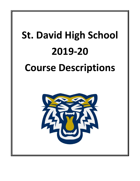# **St. David High School 2019-20 Course Descriptions**

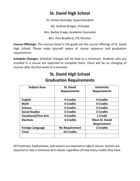# **St. David High School**

Dr. Arleen Kennedy, Superintendent

Mr. Andrew Brogan, Principal

Mrs. Barbie Grapp, Academic Counselor

Mrs. Pam Bradford, CTE Director

**Course Offerings-** The courses listed in the guide are the course offerings of St. David High School. Please make yourself aware of course sequence and graduation requirements.

**Schedule Changes-** Schedule changes will be kept to a minimum. Students who are enrolled in a course are expected to complete them. There will be no changing of courses after the first week of a semester.

| <b>Subject Area</b>         | <b>St. David</b>      | <b>University</b>     |
|-----------------------------|-----------------------|-----------------------|
|                             | <b>Requirements</b>   | <b>Requirements</b>   |
|                             |                       |                       |
| <b>English</b>              | <b>4 Credits</b>      | <b>4 Credits</b>      |
| <b>Math</b>                 | <b>4 Credits</b>      | <b>4 Credits</b>      |
| <b>Science</b>              | <b>3 Credits</b>      | <b>3 Credits</b>      |
| <b>Social Studies</b>       | <b>3 Credits</b>      | 2 Credits             |
| <b>Vocational/Fine Arts</b> | <b>3 Credits</b>      | 1 Credit              |
| <b>Electives</b>            | <b>6 Credits</b>      | <b>Meet St. David</b> |
|                             |                       | <b>Requirement</b>    |
| <b>Foreign Language</b>     | <b>No Requirement</b> | 2 Credits             |
| Total                       | 23 Credits            |                       |
|                             |                       |                       |

# **Graduation Requirements**

**St. David High School**

All Freshmen, Sophomores, and Juniors are required to take 6 classes. Seniors are required to take a minimum of 4 classes regardless of how many credits they have.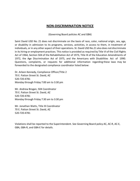## **NON-DISCRIMINATION NOTICE**

(Governing Board policies AC and GBA)

Saint David USD No. 21 does not discriminate on the basis of race, color, national origin, sex, age, or disability in admission to its programs, services, activities, in access to them, in treatment of individuals, or in any other aspect of their operations. St. David USD No.21 also does not discriminate in its hiring or employment practices. This notice is provided as required by Title VI of the Civil Rights Act of 1964, Section 504 of the Rehabilitation Act of 1973, Title IX of the Education Amendments of 1972, the Age Discrimination Act of 1975, and the Americans with Disabilities Act of 1990. Questions, complaints, or requests for additional information regarding these laws may be forwarded to the designated compliance coordinator listed below:

Dr. Arleen Kennedy, Compliance Officer/Title 2 70 E. Patton Street St. David, AZ 520-720-4781 Monday through Friday 7:00 am to 3:30 pm

Mr. Andrew Brogan, 504 Coordinator 70 E. Patton Street St. David, AZ 520-720-4781 Monday through Friday 7:30 am to 3:30 pm

Mr. Jonathan Watts, Title IX Coordinator 70 E. Patton Street St. David, AZ 520-720-4781

Violations shall be reported to the Superintendent. See Governing Board policy AC, AC-R, AC-E, GBA, GBA-R, and GBA-E for details.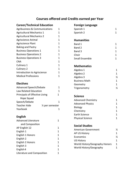## **Courses offered and Credits earned per Year**

## **Career/Technical Education**

| Agribusiness & Communications   | 1 |
|---------------------------------|---|
| <b>Agricultural Mechanics 1</b> | 1 |
| <b>Agricultural Mechanics 2</b> | 1 |
| Agriscience Animal              | 1 |
| <b>Agriscience Plant</b>        | 1 |
| <b>Baking and Pastry</b>        | 1 |
| <b>Business Operations 1</b>    | 1 |
| <b>Business Operations 2</b>    | 1 |
| <b>Business Operations 3</b>    | 1 |
| CNA                             | 1 |
| Culinary 1                      | 1 |
| Culinary 2                      | 1 |
| Introduction to Agriscience     | 1 |
| <b>Medical Professions</b>      | 1 |

## **Electives**

| <b>Advanced Speech/Debate</b>  | 1                            |
|--------------------------------|------------------------------|
| Law Related Education          | 1                            |
| Principals of Effective Living | 1                            |
| Hope Squad                     |                              |
| Speech/Debate                  |                              |
| Teacher Aide                   | 1/ <sub>2</sub> per semester |
| Yearbook                       |                              |

## **English**

| Advanced Literature        |   |
|----------------------------|---|
| and Composition            |   |
| AP English 12              | 1 |
| English 1                  | 1 |
| English 1 Honors           | 1 |
| English 2                  | 1 |
| English 2 Honors           | 1 |
| English 3                  | 1 |
| English 4                  | 1 |
| Literature and Composition | 1 |
|                            |   |

### **Foreign Language**

| Spanish 1 |  |
|-----------|--|
| Spanish 2 |  |

## **Humanities**

| Band 1         |  |
|----------------|--|
| Band 2         |  |
| Band 3         |  |
| Choir          |  |
| Small Ensemble |  |

## **Mathematics**

| Algebra 1            |   |
|----------------------|---|
| Algebra 2            | 1 |
| Algebra 3            | ⅓ |
| <b>Business Math</b> | 1 |
| Geometry             | 1 |
| Trigonometry         | ⅓ |

## **Science**

| <b>Advanced Chemistry</b> |  |
|---------------------------|--|
| <b>Advanced Physics</b>   |  |
| <b>Biology</b>            |  |
| Chemistry                 |  |
| Earth Science             |  |
| <b>Physical Science</b>   |  |

## **Social Studies**

| American Government            | ℅  |
|--------------------------------|----|
| AP US History                  | 1. |
| Economics                      | ⅓  |
| <b>US History</b>              | 1. |
| World History/Geography Honors | 1. |
| World History/Geography        |    |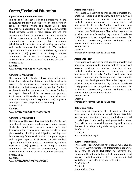# **Career/Technical Education**

#### **Agribusiness & Communications**

The focus of this course is communications in the agricultural industry and the role of agriculture in today's economic system. This course will prepare students to understand, analyze, and communicate about complex issues in food, agriculture and the environment. Topics include career preparation, public relations, sales management, marketing management, communications management, debate, economic principles and concepts, technical writing, journalism, and media relations. Participation in FFA student organization activities and in a Supervised Agricultural Experience (SAE) projects is an integral course component for leadership development, career exploration and reinforcement of academic concepts. *Grades: 10-12*

*Credits: 1 Prerequisite: Introduction to Agriscience*

#### **Agricultural Mechanics I**

This course will introduce basic engineering and fabrication skills such as laboratory safety, hand tools, power tools, woodworking, concrete, welding, metal fabrication, project design and construction. Students will learn to read and complete project plans. Students will apply learned skills to construct projects. Participation in FFA student organization activities and in a Supervised Agricultural Experience (SAE) projects is an integral course component for leadership.

*Grades: 10-12 Credits: 1*

*Prerequisite: Introduction to Agriscience*

#### **Agricultural Mechanics II**

This course will focus on developing students' skills in in agricultural mechanics applications. Topics include electricity, small gas engines maintenance and troubleshooting, renewable energy and practices, solar photovoltaics, plumbing and irrigation, welding, and land surveying. Students will plan and complete projects and project reports. Participation in FFA student organization activities and in a Supervised Agricultural Experience (SAE) projects is an integral course component for leadership development, career exploration and reinforcement of academic concepts. *Grades: 11-12*

*Credits: 1*

*Prerequisite: Agricultural Mechanics 1*

#### **Agriscience Animal**

This course will examine animal science principles and practices. Topics include anatomy and physiology, cell biology, nutrition, reproduction, genetics, disease control, quality assurance, veterinary care, and management of animals. Students will also learn research methods and formulate their own scientific investigations. Participation in FFA student organization activities and in a Supervised Agricultural Experience (SAE) projects is an integral course component for leadership development, career exploration and reinforcement of academic concepts.

*Grades: 10-12 Credit: 1 Prerequisite: Introduction to Agriscience*

#### **Agriscience Plant**

This course will examine animal science principles and practices. Topics include anatomy and physiology, cell biology, nutrition, reproduction, genetics, disease control, quality assurance, veterinary care, and management of animals. Students will also learn research methods and formulate their own scientific investigations. Participation in FFA student organization activities and in a Supervised Agricultural Experience (SAE) projects is an integral course component for leadership development, career exploration and reinforcement of academic concepts.

*Grades: 10-12 Credit: 1 Prerequisite: Introduction to Agriscience*

#### **Baking and Pastry**

This course will expand on skills learned in culinary I focusing on the baking and pastry side. Emphasis with be place on understanding the science and techniques used in baked goods, decorating, and presentation ideas. Class will have some work base learning with projects that could include planning and catering events.

*Grades: 11-12 Credits: 1 Prerequisite: Culinary 1*

#### **Business Operations 1**

This course is recommended for students who have an interest in Administration and Information Support to learn how to utilize technology to perform and coordinate the administrative activities of an office and to ensure that information is collected and disseminated to staff and clients effectively and efficiently.

*Grades: 10-12 Credits: 1 Prerequisites: None*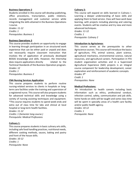#### **Business Operations 2**

Students enrolled in this course will develop publishing, office procedures, transcription, public relations, records management and customer service while integrating the skills attained in the Business Operations I course.

*Grades: 11-12 Credits: 1 Prerequisites: Business 1*

#### **Business Operations 3**

This course provides students an opportunity to engage in learning through participation in an structured work experience that can be either paid or unpaid and does not necessarily require classroom instruction that involves the of application of previously developed BOSAS knowledge and skills. However, the Internship does require applications directly related to the Technical Standards of the Business Operation program. *Grades: 12*

*Credits: 1 Prerequisites: Business 2*

#### **CNA Nursing Services Application**

This course prepares students to perform routine nursing-related services to clients in hospitals or longterm care facilities under the training and supervision of a registered nurse. This course will also prepare students for advanced technical skills and knowledge using a variety of nursing assisting techniques and equipment. \*This course requires students to spend week-ends and extra out of class time for labs and clinical at local hospital or long-term health facilities.

*Grades: 11-12 Credits: 1 (Semester long course.) Prerequisite: Medical Professions*

#### **Culinary 1:**

This course prepares students in basic culinary arts skills, including safe food handling practices, nutritional needs, different cooking methods, sauces, baking and pastry and front of the house skills. *Grades: 10-12 Credits: 1 Prerequisite: None*

#### **Culinary 2:**

This course will expand on skills learned in Culinary I. Learning a deeper understanding of basic skills and applying them to food service. Class will have work base learning, with projects including planning and catering events. Students will be creative and try new and more advanced techniques.

*Grades: 11-12 Credits: 1 Prerequisite: Culinary 2*

#### **Introduction to Agriscience:**

This course serves as the prerequisite to other Agriscience courses. This course will introduce the basics of agriculture, FFA, animal science, plant science, agricultural mechanics, environmental science, natural resources, and agricultural careers. Participation in FFA student organization activities and in a Supervised Agricultural Experience (SAE) projects is an integral course component for leadership development, career exploration and reinforcement of academic concepts. *Grades: 9th*

*Credit: 1 Prerequisites: None*

#### **Medical Professions:**

An introduction to health careers including basic information such as ethics, professional conduct, infection control, safety, communication and job skills. Some hands-on skills will be taught and some class time will be spent in specialty areas of a health care facility and/or public health agency. *Grades: 10-12*

*Credits: 1 Prerequisite: None*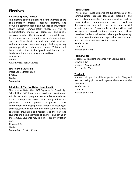# **Electives**

#### **Advanced Speech/Debate:**

This elective course explores the fundamentals of the communication process (speaking, listening, and nonverbal communication) and public speaking. Units of study include communication theory as well as demonstration, informative, persuasive, and special occasion speeches. Considerable class time will be used to organize, research, outline, present, and critique speeches. Students will review debate, public speaking, and interpretation theory and apply this theory as they prepare, polish, and rehearse for contests. This Class will be a continuation of the Speech and Debate class. Students will work at a more advanced level.

*Grades: 9-10 Credit: 1 Prerequisite: Speech/Debate*

#### **Law Related Education:**

Insert Course Description *Grades: Credit: Prerequisite*

#### **Principles of Effective Living (Hope Squad):**

The class facilitates the HOPE Squad at St. David High School. The HOPE Squad is a school-based peer-focused suicide prevention program that includes an evidencebased suicide prevention curriculum. Along with suicide prevention students promote a positive school environment by engaging other students in meaningful activities, providing education on many subjects related to suicide prevention and resilience to the staff and students and being examples of kindness and caring on the campus. Students may join this class by invitation only.

*Grades: 9-12 Credit: 1 Prerequisite: Teacher Request*

#### **Spech/Debate:**

This elective course explores the fundamentals of the communication process (speaking, listening, and nonverbal communication) and public speaking. Units of study include communication theory as well as demonstration, informative, persuasive, and special occasion speeches. Considerable class time will be used to organize, research, outline, present, and critique speeches. Students will review debate, public speaking, and interpretation theory and apply this theory as they prepare, polish, and rehearse for contests. *Grades: 9-10*

*Credit: 1 Prerequisite: None*

#### **Teacher Aide:**

Students will assist the teacher with various tasks. *Grades: 9-12 Credits: ½ (per semester) Prerequisite: None*

#### **Yearbook:**

Students will practice skills of photography. They will work on taking picture and organize them to form the yearbook. *Grades: 10-12 Credit: 1 Prerequisite: None*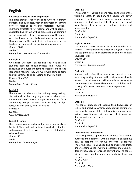# **English**

#### **Advanced Literature and Composition**

This class provides opportunities to write for different purposes and audiences, with an emphasis on learning how to respond to various rhetorical situations; improving critical thinking, reading, and writing abilities; understanding various writing processes; and gaining a deeper knowledge of language conventions. The course will also focus on the study and analysis of various literature pieces. The subject will be taught at a deeper level and student work is expected at a higher level.

*Grades: 11-12 Credit- 1 Prerequisite: Literature and Composition*

#### **AP English**

AP English will focus on reading and writing skills students need for college success. The course will encourage and guide students to become critical and responsive readers. They will work with complex texts and will continue to build reading and writing skills. *Grades: 11 and 12 Credit: 1* 

*Prerequisite: Teacher Request*

#### **English 1**

This course includes narrative writing, essay writing, discussion skills, the study of grammar, vocabulary and the completion of a research paper. Students will focus on learning how pull evidence from readings, analyze texts, and craft quality forms of writing. *Grades: 9*

*Credit: 1 Prerequisites: None*

#### **English 1 Honors**

This Honors course includes the same standards as English 1. These skills will be judged by a higher standard and assignments will be expected to be completed at an advanced level.

*Grades: 9th Credit: 1 Prerequisite: Teacher Request*

#### **English 2**

This course will include a strong focus on the use of the writing process. In addition, this course will cover grammar, vocabulary and reading comprehension. Students will build on the skills they have developed from English 1 at a deeper level of thinking and understanding.

*Grades: 10 Credit: 1 Prerequisite: English 1*

#### **English 2 Honors**

This Honors course includes the same standards as English 2. These skills will be judged by a higher standard and assignments will be expected to be completed at an advanced level.

*Grades: 10 Credit: 1 Prerequisite: Teacher Request*

#### **English 3**

Students will refine their persuasive, narrative, and expository writing. Students will continue to work with research techniques and will use rubrics to analyze literary selections. They will continue to build their skills in using information from text to form arguments. *Grades: 11*

*Credit: 1 Prerequisite: English 2*

#### **English 4**

This course students will expand their knowledge of critical and analytical writing. Students will continue to craft quality argumentative, informative, and narrative writing tasks. Students will improve skills in planning, drafting and revising essays.

*Grades: 12 Credit: 1 Prerequisite: English 3*

#### **Literature and Composition**

This class provides opportunities to write for different purposes and audiences, with an emphasis on learning how to respond to various rhetorical situations; improving critical thinking, reading, and writing abilities; understanding various writing processes; and gaining a deeper knowledge of language conventions. The course will also focus on the study and analysis of various literature pieces.

*Grades: 9-12 Credit: 1 Prerequisite: None*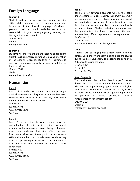# **Foreign Language**

#### **Spanish 1**

Students will develop primary listening and speaking skills while learning correct pronunciation and intonation of the Spanish Language. Vocabulary, grammar, oral, and audio activities are used to accomplish this goal. Some geography, culture, and history will also be covered.

*Grades: 9-12 Credit: 1 Prerequisite: None*

#### **Spanish 2**

Students will improve and expand listening and speaking skills through emphasis on pronunciation and intonation of the Spanish language. Students will continue to improve communication skills in Spanish and further their knowledge.

*Grades: 10-12 Credit: 1 Prerequisite: Spanish 1*

# **Humanities**

#### **Band 1**

Band 1 is intended for students who are playing a musical instrument at a beginner or intermediate level. Students will learn how to read and play music, music theory, and participate in programs.

*Grades: 9-12 Credit: 1 Credit Prerequisite: None Fees: \$35*

#### **Band 2**

Band 2 is for students who already have an understanding of basic music reading, instrument assembly and maintenance, correct playing position and sound tone production. Instruction offers continued focus on the refinement of tone quality, technique, aural skills and music literacy. Similarly, select students may have the opportunity to transition to instruments that may not have been offered in previous school experiences *Grades: 9-12 Credit: 1 Credit Prerequisite: Band 1 Fees: \$35*

#### **Band 3**

Band 3 is for advanced students who have a solid understanding of music reading, instrument assembly and maintenance, correct playing position and sound tone production. Instruction offers continued focus on the refinement of tone quality, technique, aural skills and music literacy. Similarly, select students may have the opportunity to transition to instruments that may not have been offered in previous school experiences. *Grades: 10-12*

*Credit: 1 Credit Prerequisite: Band 2 or Teacher Approval*

#### **Choir**

Students will be singing music from many different genres. Basic theory and sight-singing skills are taught during this class. Students will be expected to perform in 2-3 concerts during the year.

*Grades: 9-12 Credit: 1 C Prerequisite: None*

#### **Small Ensemble**

The small ensembles studies class is a performance driven class. This class is intended for those students who seek more performing opportunities at a higher level of music. Students will perform as soloists, as well in smaller groups. Students will also get the opportunity to perform in "mixed ensembles", where instrumentation varies tremendously.

*Grades: 9-12 Credit: 1 Prerequisite: Teacher Approval*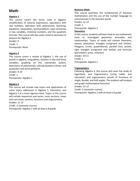# **Math**

#### **Algebra 1**

This course covers the terms used in algebra, simplification of rational expressions, operations with real numbers, operation with polynomials, factoring, equations, inequalities, word problems, open sentences in two variables, irrational numbers, and the quadratic formula. This course will also cover content necessary to prepare for Algebra 2.

*Grades: 9 Credit: 1 Prerequisite: None*

#### **Algebra 2**

This course covers a review of Algebra 1, the use of proofs in algebra, inequalities, systems in two and three variables, graphing on the coordinate system, operations of polynomials, solving equations (linear and quadratic) and word problems.

*Grades: 9-10 Credit: 1 Prerequisite: Algebra 1*

#### **Algebra 3**

This course will include new topics and applications of some topics addressed in Algebra 1, Geometry, and Algebra 2 at a more rigorous level. Topics in this course will include sequences and series, conic sections, linear and non-linear systems, functions and trigonometry. *Grades: 11-12*

*Credit: ½ (semester course) Prerequisite: Algebra 2 with at least a B grade.*

#### **Business Math**

This course examines the fundamental of business mathematics and the use of the number language to communicate in the business world.

*Grades: 11-12*

*Credit: 1*

*Prerequisite: Algebra 2*

#### **Geometry**

In this course, students will learn how to use mathematic tools to investigate geometric principles and relationships. Topics of study will contain theorems, axioms, postulates, triangles (congruent and similar). Polygons, circles, quadrilaterals, parallel lines, proofs, right triangles (congruent and similar) and formulas (perimeters, areas, volumes).

*Grades: 10-11 Credit: 1 Prerequisite: Algebra 2*

#### **Trigonometry**

Following Algebra 3, this course will cover the study of logarithms and trigonometry (using tables and calculator) and trigonometric proofs of functions of single, double, and half-angles. The students will analyze and graph mathematical functions.

*Grades: 11-12*

*Credit: ½ (semester course) Prerequisite: Algebra 2 with at least a B grade*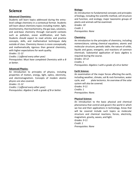# **Science**

#### **Advanced Chemistry:**

Students will learn topics addressed during the entrylevel college chemistry in a contextual format. Students will learn about chemistry topics including matter, light, stoichiometry, thermochemistry, the gas laws, solutions, and acid-base chemistry through real-world contexts such as pollution, ocean acidification, and fuels. Students should expect to read articles and practice concepts, skills, and mathematical techniques daily outside of class. Chemistry Honors is more conceptually and mathematically rigorous than general chemistry, with higher expectations for work quality.

*Grades: 11-12*

*Credits: 1 (offered every other year) Prerequisites: Must have completed Chemistry with a B or better.*

#### **Advanced Physics:**

An introduction to principles of physics, including properties of motion, energy, light, optics, electricity, and electromagnetism. Concepts of modem atomic physics are also covered.

*Grades: 11-12 Credits: 1 (offered every other year) Prerequisites: Algebra 2 with a grade of B or better.*

#### **Biology:**

An introduction to fundamental concepts and principles of biology, including the scientific method, cell structure and function, and ecology; major taxonomic groups of plants and animals will be examined.

*Grades: 10 Credit: 1 Prerequisites: None*

#### **Chemistry:**

An introduction to the principles of chemistry, including nomenclature; solving chemical equations; atomic and molecular structure; periodic table; the nature of solids, liquids and gases; energetic; and reactions of common chemicals. Substantial application of basic algebra is required during the course.

*Grades: 10-12*

*Credits: 1*

*Prerequisites: Algebra 1 with a grade of a B or better*

#### **Earth Science:**

An examination of the major forces affecting the earth, including weather, climate, soil & rock formation, water cycle, and plate tectonics. An overview of the solar system will also be covered. *Grades: 9-11 Credits: 1*

*Prerequisites: None.* 

#### **Physical Science:**

An introduction to the basic physical and chemical phenomena that control and govern the world in which we live and their applications in technology. Areas that will be covered include such topics as molecular structure and chemical reactions, forces, electricity, magnetism, gravity, waves, and light.

*Grades: 9-11 Credit: 1 Prerequisites: None*